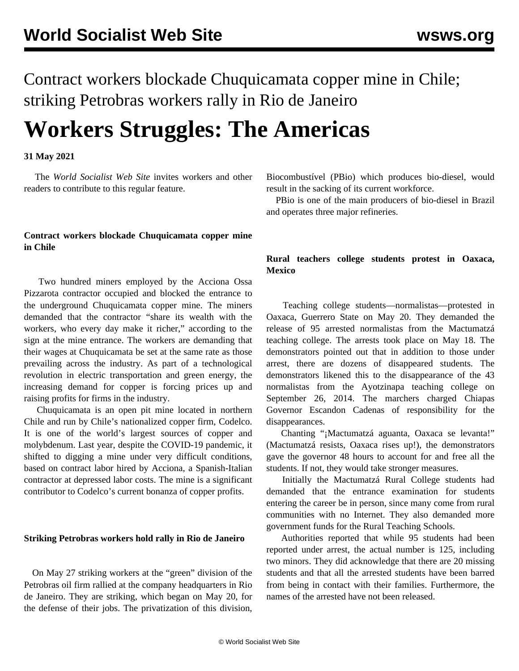Contract workers blockade Chuquicamata copper mine in Chile; striking Petrobras workers rally in Rio de Janeiro

# **Workers Struggles: The Americas**

#### **31 May 2021**

 The *World Socialist Web Site* invites workers and other readers to [contribute](/en/special/pages/contact.html) to this regular feature.

## **Contract workers blockade Chuquicamata copper mine in Chile**

 Two hundred miners employed by the Acciona Ossa Pizzarota contractor occupied and blocked the entrance to the underground Chuquicamata copper mine. The miners demanded that the contractor "share its wealth with the workers, who every day make it richer," according to the sign at the mine entrance. The workers are demanding that their wages at Chuquicamata be set at the same rate as those prevailing across the industry. As part of a technological revolution in electric transportation and green energy, the increasing demand for copper is forcing prices up and raising profits for firms in the industry.

 Chuquicamata is an open pit mine located in northern Chile and run by Chile's nationalized copper firm, Codelco. It is one of the world's largest sources of copper and molybdenum. Last year, despite the COVID-19 pandemic, it shifted to digging a mine under very difficult conditions, based on contract labor hired by Acciona, a Spanish-Italian contractor at depressed labor costs. The mine is a significant contributor to Codelco's current bonanza of copper profits.

#### **Striking Petrobras workers hold rally in Rio de Janeiro**

 On May 27 striking workers at the "green" division of the Petrobras oil firm rallied at the company headquarters in Rio de Janeiro. They are striking, which began on May 20, for the defense of their jobs. The privatization of this division,

Biocombustível (PBio) which produces bio-diesel, would result in the sacking of its current workforce.

 PBio is one of the main producers of bio-diesel in Brazil and operates three major refineries.

### **Rural teachers college students protest in Oaxaca, Mexico**

 Teaching college students—normalistas—protested in Oaxaca, Guerrero State on May 20. They demanded the release of 95 arrested normalistas from the Mactumatzá teaching college. The arrests took place on May 18. The demonstrators pointed out that in addition to those under arrest, there are dozens of disappeared students. The demonstrators likened this to the disappearance of the 43 normalistas from the Ayotzinapa teaching college on September 26, 2014. The marchers charged Chiapas Governor Escandon Cadenas of responsibility for the disappearances.

 Chanting "¡Mactumatzá aguanta, Oaxaca se levanta!" (Mactumatzá resists, Oaxaca rises up!), the demonstrators gave the governor 48 hours to account for and free all the students. If not, they would take stronger measures.

 Initially the Mactumatzá Rural College students had demanded that the entrance examination for students entering the career be in person, since many come from rural communities with no Internet. They also demanded more government funds for the Rural Teaching Schools.

 Authorities reported that while 95 students had been reported under arrest, the actual number is 125, including two minors. They did acknowledge that there are 20 missing students and that all the arrested students have been barred from being in contact with their families. Furthermore, the names of the arrested have not been released.